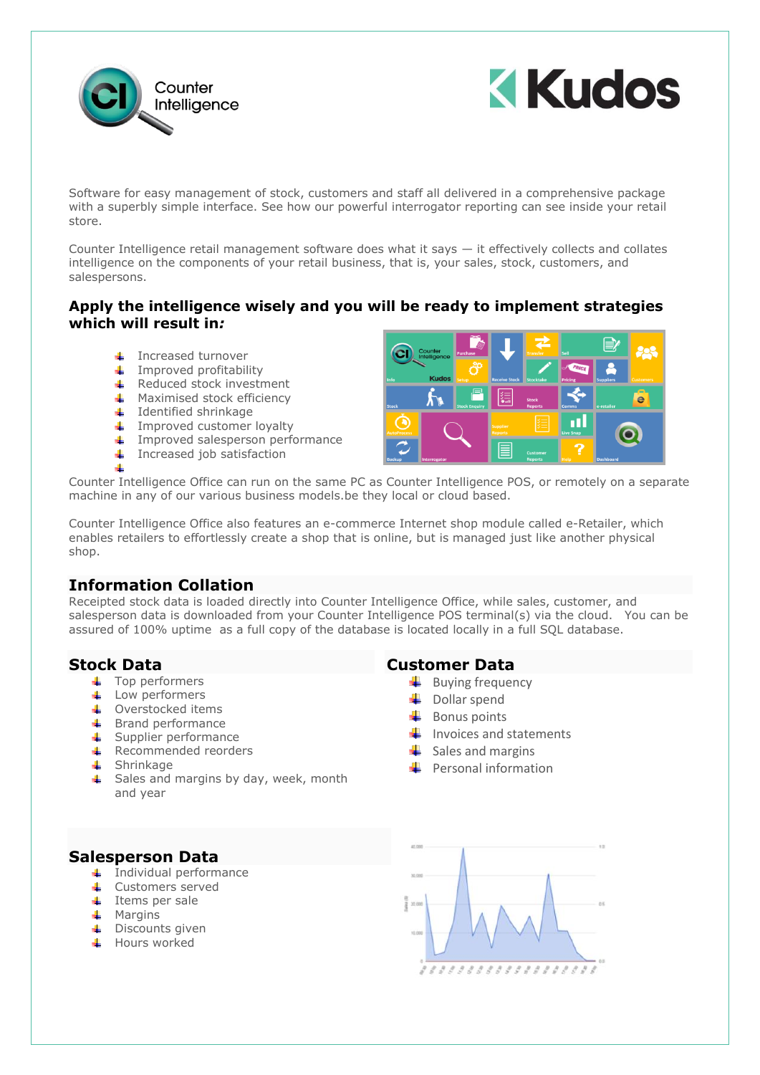



Software for easy management of stock, customers and staff all delivered in a comprehensive package with a superbly simple interface. See how our powerful interrogator reporting can see inside your retail store.

Counter Intelligence retail management software does what it says — it effectively collects and collates intelligence on the components of your retail business, that is, your sales, stock, customers, and salespersons.

#### **Apply the intelligence wisely and you will be ready to implement strategies which will result in***:*

- Increased turnover d.
- $\leftarrow$  Improved profitability
- **↓** Reduced stock investment
- **Maximised stock efficiency**
- $\ddag$  Identified shrinkage
- $\ddot{\bullet}$  Improved customer loyalty
- Improved salesperson performance
- $\ddot{\bullet}$  Increased job satisfaction



Counter Intelligence Office can run on the same PC as Counter Intelligence POS, or remotely on a separate machine in any of our various business models.be they local or cloud based.

Counter Intelligence Office also features an e-commerce Internet shop module called e-Retailer, which enables retailers to effortlessly create a shop that is online, but is managed just like another physical shop.

## **Information Collation**

Receipted stock data is loaded directly into Counter Intelligence Office, while sales, customer, and salesperson data is downloaded from your Counter Intelligence POS terminal(s) via the cloud. You can be assured of 100% uptime as a full copy of the database is located locally in a full SQL database.

## **Stock Data**

- + Top performers
- $\overline{\phantom{a}}$  Low performers
- **↓** Overstocked items
- $\leftarrow$  Brand performance
- $\overline{\phantom{a}}$  Supplier performance
- $\overline{\text{R}}$  Recommended reorders
- **↓** Shrinkage
- $\triangleq$  Sales and margins by day, week, month and year

## **Customer Data**

- $\big\|$  Buying frequency
- $\downarrow$  Dollar spend
- Bonus points
- $\frac{1}{\sqrt{2}}$  Invoices and statements
- $\frac{1}{2}$  Sales and margins
- Personal information

#### **Salesperson Data**

- $\leftarrow$  Individual performance
- ← Customers served
- $\ddot{\bullet}$  Items per sale
- $Margins$
- **↓** Discounts given
- $\overline{\phantom{a}}$  Hours worked

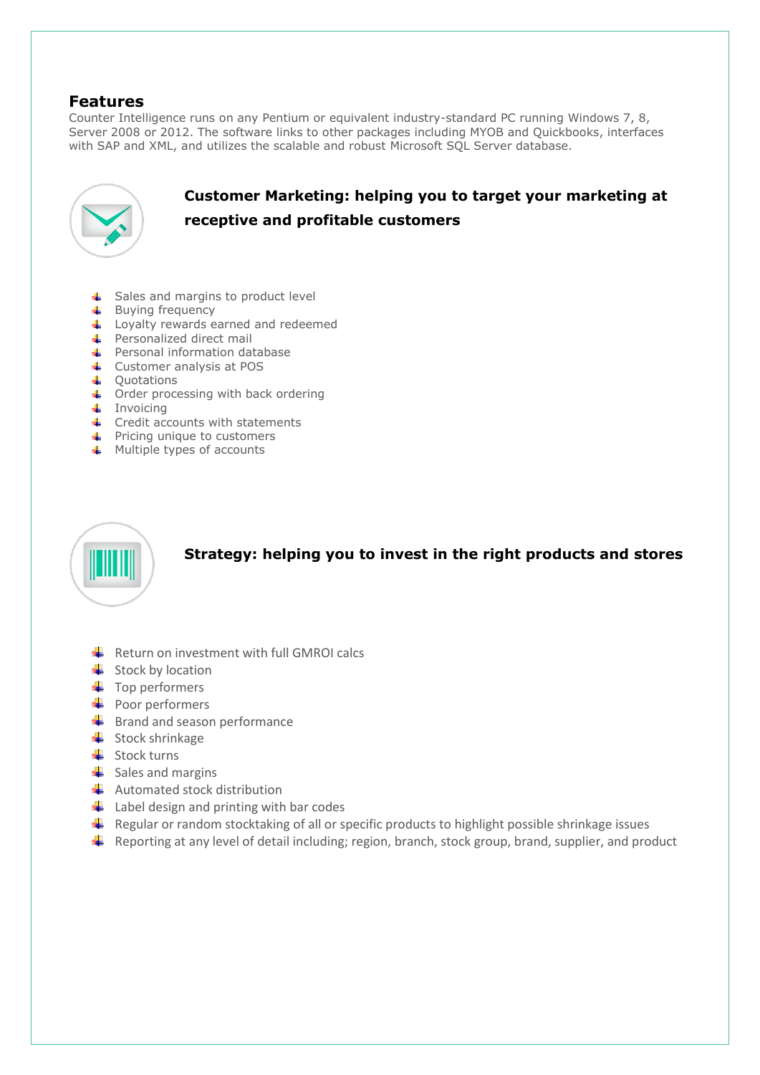# **Features**

Counter Intelligence runs on any Pentium or equivalent industry-standard PC running Windows 7, 8, Server 2008 or 2012. The software links to other packages including MYOB and Quickbooks, interfaces with SAP and XML, and utilizes the scalable and robust Microsoft SQL Server database.



# **Customer Marketing: helping you to target your marketing at receptive and profitable customers**

- **↓** Sales and margins to product level
- **Buying frequency**
- Loyalty rewards earned and redeemed
- Personalized direct mail
- Personal information database
- ← Customer analysis at POS
- Quotations
- Order processing with back ordering
- $\ddot{\bullet}$  Invoicing
- $\leftarrow$  Credit accounts with statements
- Pricing unique to customers
- **4** Multiple types of accounts



**Strategy: helping you to invest in the right products and stores**

- $\bigstar$  Return on investment with full GMROI calcs
- $\frac{1}{\sqrt{2}}$  Stock by location
- $\leftarrow$  Top performers
- $\leftarrow$  Poor performers
- $\bigstar$  Brand and season performance
- $\frac{1}{\sqrt{2}}$  Stock shrinkage
- $\frac{1}{\sqrt{2}}$  Stock turns
- $\frac{1}{\sqrt{2}}$  Sales and margins
- $\bigstar$  Automated stock distribution
- $\bigstar$  Label design and printing with bar codes
- Regular or random stocktaking of all or specific products to highlight possible shrinkage issues
- $\ddot{\phantom{1}}$  Reporting at any level of detail including; region, branch, stock group, brand, supplier, and product